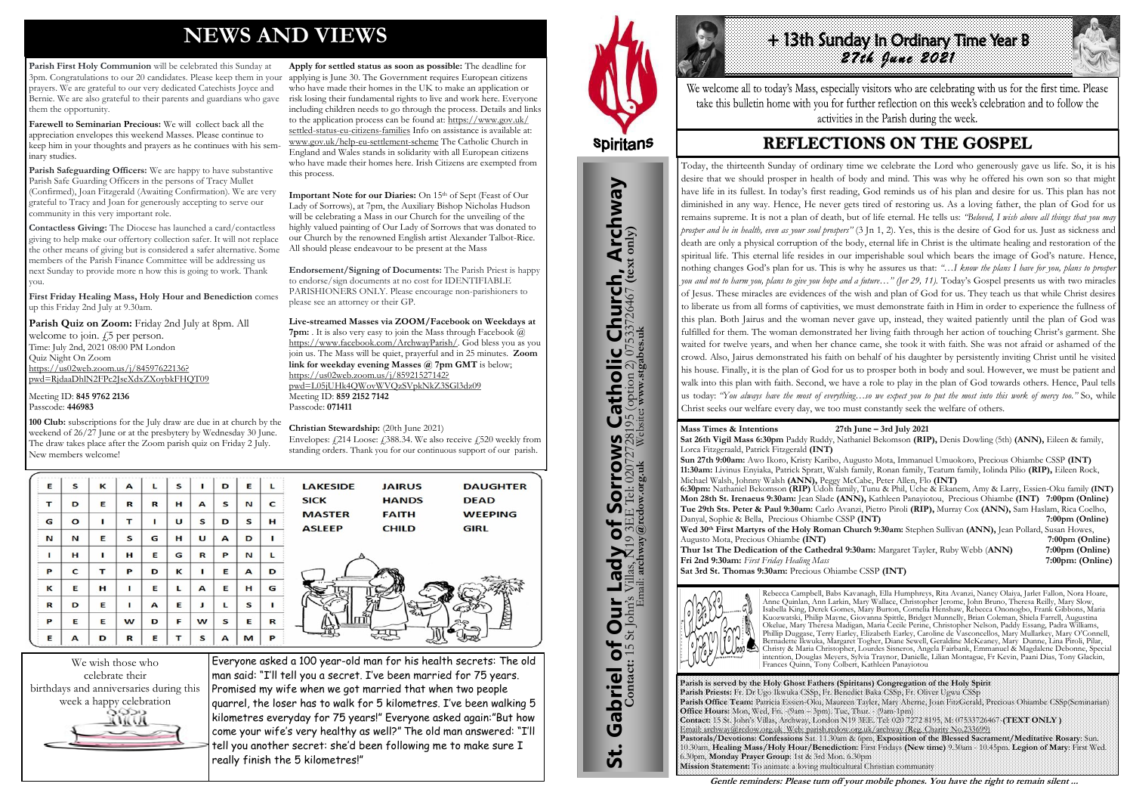# **NEWS AND VIEWS**

**Parish First Holy Communion** will be celebrated this Sunday at 3pm. Congratulations to our 20 candidates. Please keep them in your applying is June 30. The Government requires European citizens prayers. We are grateful to our very dedicated Catechists Joyce and Bernie. We are also grateful to their parents and guardians who gave them the opportunity.

**Farewell to Seminarian Precious:** We will collect back all the appreciation envelopes this weekend Masses. Please continue to keep him in your thoughts and prayers as he continues with his seminary studies.

**Parish Safeguarding Officers:** We are happy to have substantive Parish Safe Guarding Officers in the persons of Tracy Mullet (Confirmed), Joan Fitzgerald (Awaiting Confirmation). We are very grateful to Tracy and Joan for generously accepting to serve our community in this very important role.

Parish Quiz on Zoom: Friday 2nd July at 8pm. All welcome to join.  $\sqrt{5}$  per person. Time: July 2nd, 2021 08:00 PM London Quiz Night On Zoom [https://us02web.zoom.us/j/84597622136?](https://us02web.zoom.us/j/84597622136?pwd=RjdaaDhlN2FPc2JseXdxZXoybkFHQT09) [pwd=RjdaaDhlN2FPc2JseXdxZXoybkFHQT09](https://us02web.zoom.us/j/84597622136?pwd=RjdaaDhlN2FPc2JseXdxZXoybkFHQT09)

**Contactless Giving:** The Diocese has launched a card/contactless giving to help make our offertory collection safer. It will not replace the other means of giving but is considered a safer alternative. Some members of the Parish Finance Committee will be addressing us next Sunday to provide more n how this is going to work. Thank you.

**First Friday Healing Mass, Holy Hour and Benediction** comes up this Friday 2nd July at 9.30am.

**Important Note for our Diaries:** On 15<sup>th</sup> of Sept (Feast of Our Lady of Sorrows), at 7pm, the Auxiliary Bishop Nicholas Hudson will be celebrating a Mass in our Church for the unveiling of the highly valued painting of Our Lady of Sorrows that was donated to our Church by the renowned English artist Alexander Talbot-Rice. All should please endeavour to be present at the Mass

Meeting ID: **845 9762 2136** Passcode: **446983**

**100 Club:** subscriptions for the July draw are due in at church by the weekend of 26/27 June or at the presbytery by Wednesday 30 June. The draw takes place after the Zoom parish quiz on Friday 2 July. New members welcome!

| Е | S            | к | $\mathbf{A}$ | г           | S | ı | D | Е | Г |
|---|--------------|---|--------------|-------------|---|---|---|---|---|
| т | D            | Е | R            | $\mathbf R$ | н | А | S | N | C |
| G | $\mathbf{o}$ | ı | т            | ı           | U | S | D | S | н |
| N | И            | Е | S            | G           | н | U | А | D | ı |
| п | н            | Π | н            | Е           | G | R | P | N | L |
| P | C            | т | P            | D           | К | ı | Е | A | D |
| κ | Е            | н | ı            | Е           | г | A | Е | н | G |
| R | D            | Е | ı            | A           | Е | J | г | S | п |
| P | Е            | Е | w            | D           | F | W | S | Е | R |
| E | А            | D | R            | E           | т | S | A | M | P |

Envelopes:  $\frac{1}{2}$ 214 Loose:  $\frac{1}{2}$ 388.34. We also receive  $\frac{1}{2}$ 520 weekly from standing orders. Thank you for our continuous support of our parish.

| <b>LAKESIDE</b> | <b>JAIRUS</b> | <b>DAUGHTER</b> |
|-----------------|---------------|-----------------|
| <b>SICK</b>     | <b>HANDS</b>  | <b>DEAD</b>     |
| <b>MASTER</b>   | <b>FAITH</b>  | <b>WEEPING</b>  |
| <b>ASLEEP</b>   | <b>CHILD</b>  | <b>GIRL</b>     |
|                 |               |                 |
|                 |               |                 |
|                 |               |                 |
|                 |               |                 |
|                 |               |                 |

**Apply for settled status as soon as possible:** The deadline for who have made their homes in the UK to make an application or risk losing their fundamental rights to live and work here. Everyone including children needs to go through the process. Details and links to the application process can be found at: [https://www.gov.uk/](https://www.gov.uk/settled-status-eu-citizens-families) [settled-status-eu-citizens-families](https://www.gov.uk/settled-status-eu-citizens-families) Info on assistance is available at: [www.gov.uk/help-eu-settlement-scheme](http://www.gov.uk/help-eu-settlement-scheme) The Catholic Church in England and Wales stands in solidarity with all European citizens who have made their homes here. Irish Citizens are exempted from this process.

# +13th Sunday In Ordinary Time Year B *27th June 2021*

We welcome all to today's Mass, especially visitors who are celebrating with us for the first time. Please take this bulletin home with you for further reflection on this week's celebration and to follow the activities in the Parish during the week.

## **REFLECTIONS ON THE GOSPEL**

**Endorsement/Signing of Documents:** The Parish Priest is happy to endorse/sign documents at no cost for IDENTIFIABLE PARISHIONERS ONLY. Please encourage non-parishioners to please see an attorney or their GP.

**Live-streamed Masses via ZOOM/Facebook on Weekdays at 7pm:** . It is also very easy to join the Mass through Facebook @ [https://www.facebook.com/ArchwayParish/.](https://www.facebook.com/ArchwayParish/) God bless you as you join us. The Mass will be quiet, prayerful and in 25 minutes. **Zoom link for weekday evening Masses @ 7pm GMT** is below; [https://us02web.zoom.us/j/85921527142?](https://us02web.zoom.us/j/85921527142?pwd=L05jUHk4QWovWVQzSVpkNkZ3SGl3dz09) [pwd=L05jUHk4QWovWVQzSVpkNkZ3SGl3dz09](https://us02web.zoom.us/j/85921527142?pwd=L05jUHk4QWovWVQzSVpkNkZ3SGl3dz09) Meeting ID: **859 2152 7142**  Passcode: **071411** 

#### **Christian Stewardship:** (20th June 2021)



Everyone asked a 100 year-old man for his health secrets: The old man said: "I'll tell you a secret. I've been married for 75 years. Promised my wife when we got married that when two people quarrel, the loser has to walk for 5 kilometres. I've been walking 5 kilometres everyday for 75 years!" Everyone asked again:"But how come your wife's very healthy as well?" The old man answered: "I'll tell you another secret: she'd been following me to make sure I really finish the 5 kilometres!"



St. Gabriel of Our Lady of Sorrows Catholic Church, Archway

**Sorrows**<br>E Tel: 020727281

r Lady of Sorro<br>18 Villas, N19 3EE Tel: 0207  $\overline{\mathbf{b}}$ 

Our I

Gabriel of Our

<u>ჭ</u>

**IS Catholic Church, Archway**<br>28195 (option 2) 07533726467 (text only)

**Parish is served by the Holy Ghost Fathers (Spiritans) Congregation of the Holy Spirit Parish Priests:** Fr. Dr Ugo Ikwuka CSSp, Fr. Benedict Baka CSSp, Fr. Oliver Ugwu CSSp **Parish Office Team:** Patricia Essien-Oku, Maureen Tayler, Mary Aherne, Joan FitzGerald, Precious Ohiambe CSSp(Seminarian) **Office Hours:** Mon, Wed, Fri. -(9am – 3pm). Tue, Thur. - (9am-1pm) **Contact:** 15 St. John's Villas, Archway, London N19 3EE. Tel: 020 7272 8195, M: 07533726467-**(TEXT ONLY )** Email: archway@rcdow.org.uk Web: parish.rcdow.org.uk/archway (Reg. Charity No.233699) **Pastorals/Devotions: Confessions** Sat. 11.30am & 6pm, **Exposition of the Blessed Sacrament/Meditative Rosary**: Sun. 10.30am, **Healing Mass/Holy Hour/Benediction:** First Fridays **(New time)** 9.30am - 10.45pm. **Legion of Mary**: First Wed. 6.30pm, **Monday Prayer Group**: 1st & 3rd Mon. 6.30pm **Mission Statement:** To animate a loving multicultural Christian community

**Contact:** 15 St John's Villas, N19 3EE Tel: 02072728195 (option 2) 07533726467 **(text only)** Email: **archway@rcdow.org.uk** Website**: www.stgabes.uk**

**Mass Times & Intentions 27th June – 3rd July 2021**

**Sat 26th Vigil Mass 6:30pm** Paddy Ruddy, Nathaniel Bekomson **(RIP),** Denis Dowling (5th) **(ANN),** Eileen & family,

Lorca Fitzgeraald, Patrick Fitzgerald **(INT) Sun 27th 9:00am:** Awo Ikoro, Kristy Karibo, Augusto Mota, Immanuel Umuokoro, Precious Ohiambe CSSP **(INT) 11:30am:** Livinus Enyiaka, Patrick Spratt, Walsh family, Ronan family, Teatum family, Iolinda Pilio **(RIP),** Eileen Rock, Michael Walsh, Johnny Walsh **(ANN),** Peggy McCabe, Peter Allen, Flo **(INT) 6:30pm:** Nathaniel Bekomson **(RIP)** Udoh family, Tunu & Phil, Uche & Ekanem, Amy & Larry, Essien-Oku family **(INT) Mon 28th St. Irenaeus 9:30am:** Jean Slade **(ANN),** Kathleen Panayiotou, Precious Ohiambe **(INT) 7:00pm (Online) Tue 29th Sts. Peter & Paul 9:30am:** Carlo Avanzi, Pietro Piroli **(RIP),** Murray Cox **(ANN),** Sam Haslam, Rica Coelho, Danyal, Sophie & Bella, Precious Ohiambe CSSP **(INT) Wed 30th First Martyrs of the Holy Roman Church 9:30am:** Stephen Sullivan **(ANN),** Jean Pollard, Susan Howes, Augusto Mota, Precious Ohiambe **(INT) 7:00pm (Online) Thur 1st The Dedication of the Cathedral 9:30am:** Margaret Tayler, Ruby Webb (ANN) 7:00pm (Online) **Fri 2nd 9:30am:** *First Friday Healing Mass* **7:00pm: (Online) Sat 3rd St. Thomas 9:30am:** Precious Ohiambe CSSP **(INT)**



Rebecca Campbell, Babs Kavanagh, Ella Humphreys, Rita Avanzi, Nancy Olaiya, Jarlet Fallon, Nora Hoare, Anne Quinlan, Ann Larkin, Mary Wallace, Christopher Jerome, John Bruno, Theresa Reilly, Mary Slow, Isabella King, Derek Gomes, Mary Burton, Cornelia Henshaw, Rebecca Ononogbo, Frank Gibbons, Maria Kuozwatski, Philip Mayne, Giovanna Spittle, Bridget Munnelly, Brian Coleman, Shiela Farrell, Augustina Okelue, Mary Theresa Madigan, Maria Cecile Perine, Christopher Nelson, Paddy Essang, Padra Williams, Phillip Duggase, Terry Earley, Elizabeth Earley, Caroline de Vasconcellos, Mary Mullarkey, Mary O'Connell, Bernadette Ikwuka, Margaret Togher, Diane Sewell, Geraldine McKeaney, Mary Dunne, Lina Piroli, Pilar, Christy & Maria Christopher, Lourdes Sisneros, Angela Fairbank, Emmanuel & Magdalene Debonne, Special intention, Douglas Meyers, Sylvia Traynor, Danielle, Lilian Montague, Fr Kevin, Paani Dias, Tony Glackin, Frances Quinn, Tony Colbert, Kathleen Panayiotou

**Gentle reminders: Please turn off your mobile phones. You have the right to remain silent ...** 

Today, the thirteenth Sunday of ordinary time we celebrate the Lord who generously gave us life. So, it is his desire that we should prosper in health of body and mind. This was why he offered his own son so that might have life in its fullest. In today's first reading, God reminds us of his plan and desire for us. This plan has not diminished in any way. Hence, He never gets tired of restoring us. As a loving father, the plan of God for us remains supreme. It is not a plan of death, but of life eternal. He tells us: *"Beloved, I wish above all things that you may prosper and be in health, even as your soul prospers"* (3 Jn 1, 2). Yes, this is the desire of God for us. Just as sickness and death are only a physical corruption of the body, eternal life in Christ is the ultimate healing and restoration of the spiritual life. This eternal life resides in our imperishable soul which bears the image of God's nature. Hence, nothing changes God's plan for us. This is why he assures us that: *"…I know the plans I have for you, plans to prosper you and not to harm you, plans to give you hope and a future…" (Jer 29, 11).* Today's Gospel presents us with two miracles of Jesus. These miracles are evidences of the wish and plan of God for us. They teach us that while Christ desires to liberate us from all forms of captivities, we must demonstrate faith in Him in order to experience the fullness of this plan. Both Jairus and the woman never gave up, instead, they waited patiently until the plan of God was fulfilled for them. The woman demonstrated her living faith through her action of touching Christ's garment. She waited for twelve years, and when her chance came, she took it with faith. She was not afraid or ashamed of the crowd. Also, Jairus demonstrated his faith on behalf of his daughter by persistently inviting Christ until he visited his house. Finally, it is the plan of God for us to prosper both in body and soul. However, we must be patient and walk into this plan with faith. Second, we have a role to play in the plan of God towards others. Hence, Paul tells us today: *"You always have the most of everything…so we expect you to put the most into this work of mercy too."* So, while Christ seeks our welfare every day, we too must constantly seek the welfare of others.